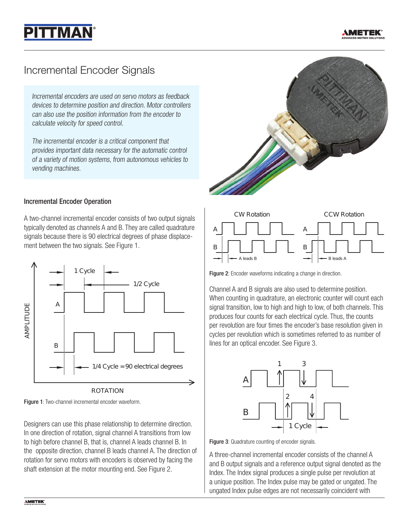



## Incremental Encoder Signals

Incremental encoders are used on servo motors as feedback devices to determine position and direction. Motor controllers can also use the position information from the encoder to calculate velocity for speed control.

The incremental encoder is a critical component that provides important data necessary for the automatic control of a variety of motion systems, from autonomous vehicles to vending machines.

## Incremental Encoder Operation

A two-channel incremental encoder consists of two output signals typically denoted as channels A and B. They are called quadrature signals because there is 90 electrical degrees of phase displacement between the two signals. See Figure 1.



Figure 1: Two-channel incremental encoder waveform.

Designers can use this phase relationship to determine direction. In one direction of rotation, signal channel A transitions from low to high before channel B, that is, channel A leads channel B. In the opposite direction, channel B leads channel A. The direction of rotation for servo motors with encoders is observed by facing the shaft extension at the motor mounting end. See Figure 2.





Figure 2: Encoder waveforms indicating a change in direction.

Channel A and B signals are also used to determine position. When counting in quadrature, an electronic counter will count each signal transition, low to high and high to low, of both channels. This produces four counts for each electrical cycle. Thus, the counts per revolution are four times the encoder's base resolution given in cycles per revolution which is sometimes referred to as number of lines for an optical encoder. See Figure 3.



Figure 3: Quadrature counting of encoder signals.

A three-channel incremental encoder consists of the channel A and B output signals and a reference output signal denoted as the Index. The Index signal produces a single pulse per revolution at a unique position. The Index pulse may be gated or ungated. The ungated Index pulse edges are not necessarily coincident with